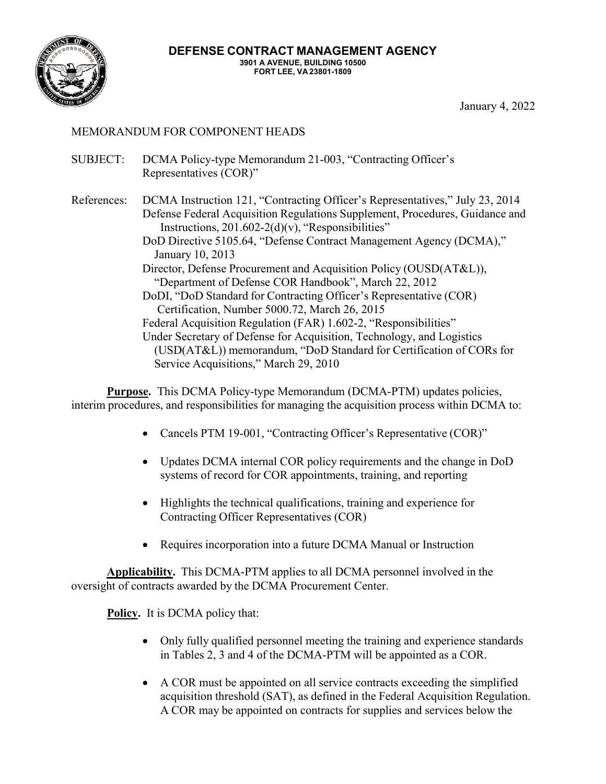

January 4, 2022

# MEMORANDUM FOR COMPONENT HEADS

- SUBJECT: DCMA Policy-type Memorandum 21-003, "Contracting Officer's Representatives (COR)"
- References: DCMA Instruction 121, "Contracting Officer's Representatives," July 23, 2014 Defense Federal Acquisition Regulations Supplement, Procedures, Guidance and Instructions,  $201.602 - 2(d)(v)$ , "Responsibilities" DoD Directive 5105.64, "Defense Contract Management Agency (DCMA)," January 10, 2013 Director, Defense Procurement and Acquisition Policy (OUSD(AT&L)), "Department of Defense COR Handbook", March 22, 2012 DoDI, "DoD Standard for Contracting Officer's Representative (COR) Certification, Number 5000.72, March 26, 2015 Federal Acquisition Regulation (FAR) 1.602-2, "Responsibilities" Under Secretary of Defense for Acquisition, Technology, and Logistics (USD(AT&L)) memorandum, "DoD Standard for Certification of CORs for

Service Acquisitions," March 29, 2010

**Purpose.** This DCMA Policy-type Memorandum (DCMA-PTM) updates policies, interim procedures, and responsibilities for managing the acquisition process within DCMA to:

- Cancels PTM 19-001, "Contracting Officer's Representative (COR)"
- Updates DCMA internal COR policy requirements and the change in DoD systems of record for COR appointments, training, and reporting
- Highlights the technical qualifications, training and experience for Contracting Officer Representatives (COR)
- Requires incorporation into a future DCMA Manual or Instruction

**Applicability.** This DCMA-PTM applies to all DCMA personnel involved in the oversight of contracts awarded by the DCMA Procurement Center.

**Policy.** It is DCMA policy that:

- Only fully qualified personnel meeting the training and experience standards in Tables 2, 3 and 4 of the DCMA-PTM will be appointed as a COR.
- A COR must be appointed on all service contracts exceeding the simplified acquisition threshold (SAT), as defined in the Federal Acquisition Regulation. A COR may be appointed on contracts for supplies and services below the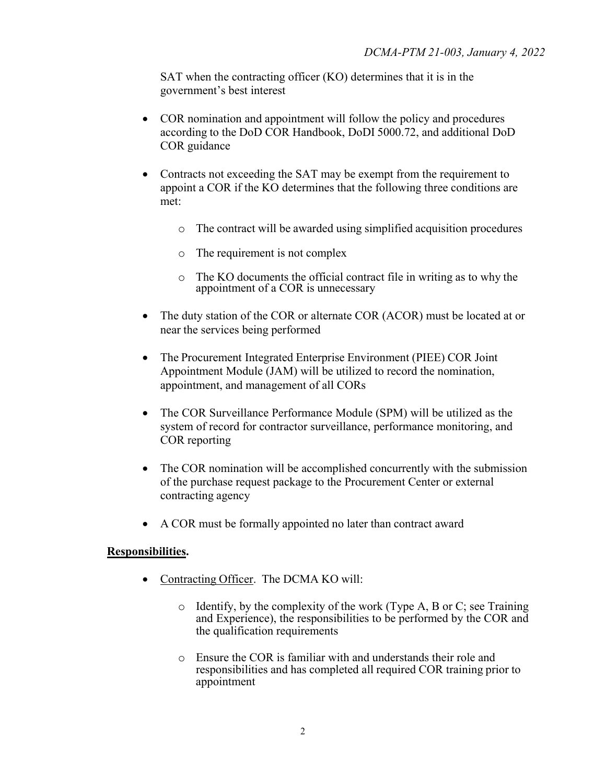SAT when the contracting officer (KO) determines that it is in the government's best interest

- COR nomination and appointment will follow the policy and procedures according to the DoD COR Handbook, DoDI 5000.72, and additional DoD COR guidance
- Contracts not exceeding the SAT may be exempt from the requirement to appoint a COR if the KO determines that the following three conditions are met:
	- o The contract will be awarded using simplified acquisition procedures
	- o The requirement is not complex
	- o The KO documents the official contract file in writing as to why the appointment of a COR is unnecessary
- The duty station of the COR or alternate COR (ACOR) must be located at or near the services being performed
- The Procurement Integrated Enterprise Environment (PIEE) COR Joint Appointment Module (JAM) will be utilized to record the nomination, appointment, and management of all CORs
- The COR Surveillance Performance Module (SPM) will be utilized as the system of record for contractor surveillance, performance monitoring, and COR reporting
- The COR nomination will be accomplished concurrently with the submission of the purchase request package to the Procurement Center or external contracting agency
- A COR must be formally appointed no later than contract award

#### **Responsibilities.**

- Contracting Officer. The DCMA KO will:
	- $\circ$  Identify, by the complexity of the work (Type A, B or C; see Training and Experience), the responsibilities to be performed by the COR and the qualification requirements
	- o Ensure the COR is familiar with and understands their role and responsibilities and has completed all required COR training prior to appointment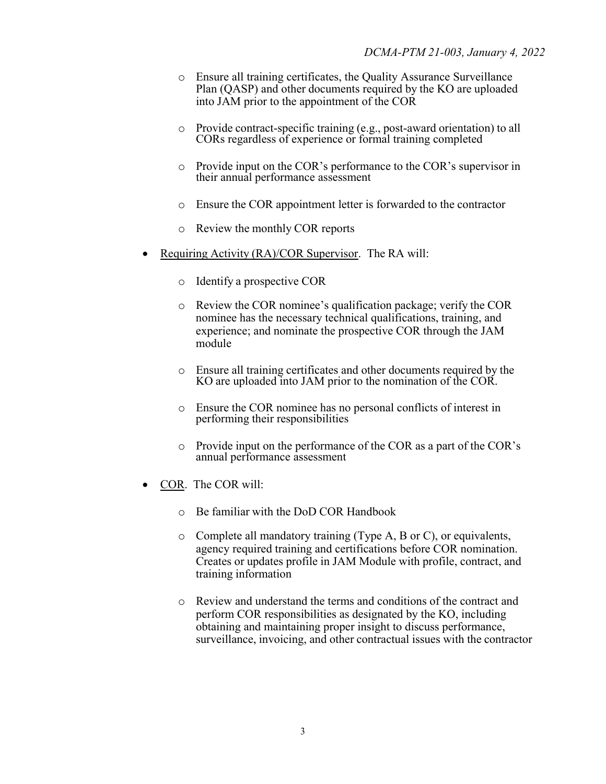- o Ensure all training certificates, the Quality Assurance Surveillance Plan (QASP) and other documents required by the KO are uploaded into JAM prior to the appointment of the COR
- o Provide contract-specific training (e.g., post-award orientation) to all CORs regardless of experience or formal training completed
- o Provide input on the COR's performance to the COR's supervisor in their annual performance assessment
- o Ensure the COR appointment letter is forwarded to the contractor
- o Review the monthly COR reports
- Requiring Activity (RA)/COR Supervisor. The RA will:
	- o Identify a prospective COR
	- o Review the COR nominee's qualification package; verify the COR nominee has the necessary technical qualifications, training, and experience; and nominate the prospective COR through the JAM module
	- o Ensure all training certificates and other documents required by the KO are uploaded into JAM prior to the nomination of the COR.
	- o Ensure the COR nominee has no personal conflicts of interest in performing their responsibilities
	- o Provide input on the performance of the COR as a part of the COR's annual performance assessment
- COR. The COR will:
	- o Be familiar with the DoD COR Handbook
	- o Complete all mandatory training (Type A, B or C), or equivalents, agency required training and certifications before COR nomination. Creates or updates profile in JAM Module with profile, contract, and training information
	- o Review and understand the terms and conditions of the contract and perform COR responsibilities as designated by the KO, including obtaining and maintaining proper insight to discuss performance, surveillance, invoicing, and other contractual issues with the contractor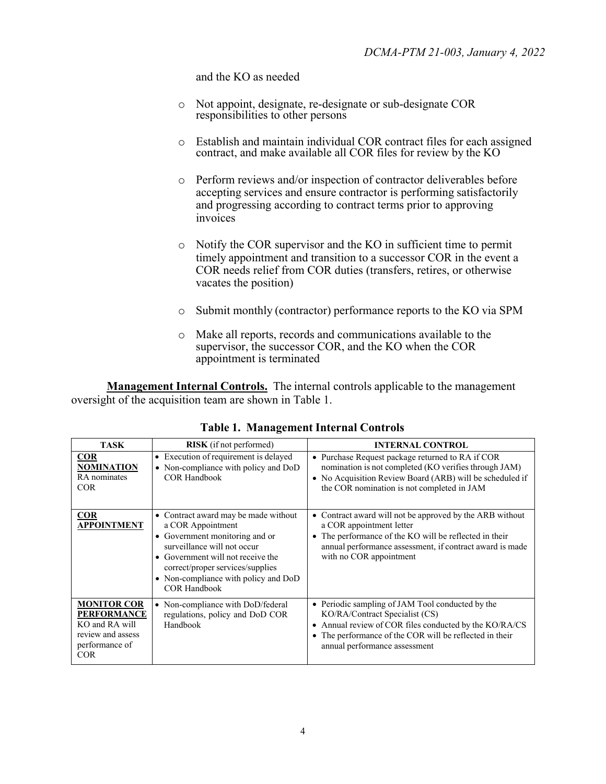and the KO as needed

- o Not appoint, designate, re-designate or sub-designate COR responsibilities to other persons
- o Establish and maintain individual COR contract files for each assigned contract, and make available all COR files for review by the KO
- o Perform reviews and/or inspection of contractor deliverables before accepting services and ensure contractor is performing satisfactorily and progressing according to contract terms prior to approving invoices
- o Notify the COR supervisor and the KO in sufficient time to permit timely appointment and transition to a successor COR in the event a COR needs relief from COR duties (transfers, retires, or otherwise vacates the position)
- o Submit monthly (contractor) performance reports to the KO via SPM
- o Make all reports, records and communications available to the supervisor, the successor COR, and the KO when the COR appointment is terminated

**Management Internal Controls.** The internal controls applicable to the management oversight of the acquisition team are shown in Table 1.

| <b>TASK</b>                                                                                                     | <b>RISK</b> (if not performed)                                                                                                                                                                                                                                     | <b>INTERNAL CONTROL</b>                                                                                                                                                                                                                        |  |  |  |
|-----------------------------------------------------------------------------------------------------------------|--------------------------------------------------------------------------------------------------------------------------------------------------------------------------------------------------------------------------------------------------------------------|------------------------------------------------------------------------------------------------------------------------------------------------------------------------------------------------------------------------------------------------|--|--|--|
| <b>COR</b><br><b>NOMINATION</b><br>RA nominates<br><b>COR</b>                                                   | • Execution of requirement is delayed<br>• Non-compliance with policy and DoD<br><b>COR Handbook</b>                                                                                                                                                               | • Purchase Request package returned to RA if COR<br>nomination is not completed (KO verifies through JAM)<br>• No Acquisition Review Board (ARB) will be scheduled if<br>the COR nomination is not completed in JAM                            |  |  |  |
| <b>COR</b><br><b>APPOINTMENT</b>                                                                                | • Contract award may be made without<br>a COR Appointment<br>• Government monitoring and or<br>surveillance will not occur<br>• Government will not receive the<br>correct/proper services/supplies<br>• Non-compliance with policy and DoD<br><b>COR Handbook</b> | Contract award will not be approved by the ARB without<br>$\bullet$<br>a COR appointment letter<br>The performance of the KO will be reflected in their<br>annual performance assessment, if contract award is made<br>with no COR appointment |  |  |  |
| <b>MONITOR COR</b><br><b>PERFORMANCE</b><br>KO and RA will<br>review and assess<br>performance of<br><b>COR</b> | • Non-compliance with DoD/federal<br>regulations, policy and DoD COR<br>Handbook                                                                                                                                                                                   | • Periodic sampling of JAM Tool conducted by the<br>KO/RA/Contract Specialist (CS)<br>• Annual review of COR files conducted by the KO/RA/CS<br>• The performance of the COR will be reflected in their<br>annual performance assessment       |  |  |  |

**Table 1. Management Internal Controls**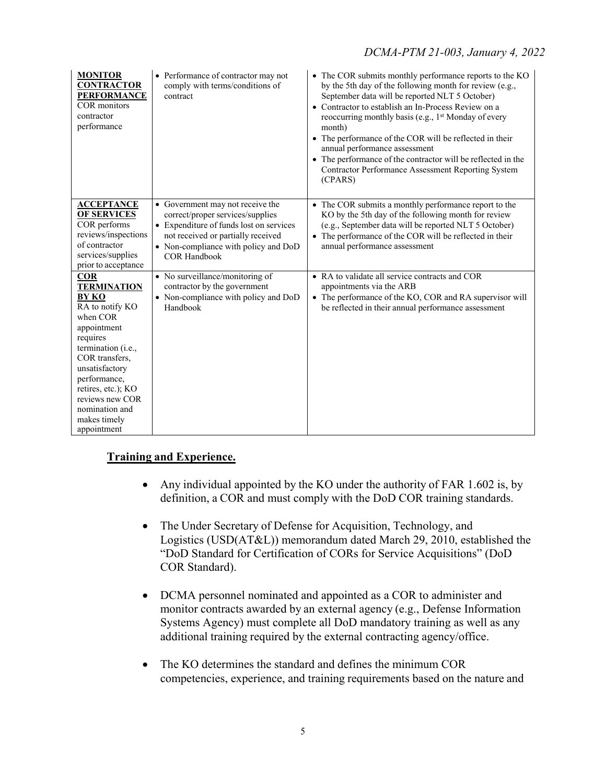| <b>MONITOR</b><br><b>CONTRACTOR</b><br><b>PERFORMANCE</b><br><b>COR</b> monitors<br>contractor<br>performance                                                                                                                                                                  | • Performance of contractor may not<br>comply with terms/conditions of<br>contract                                                                                                                                   | • The COR submits monthly performance reports to the KO<br>by the 5th day of the following month for review (e.g.,<br>September data will be reported NLT 5 October)<br>• Contractor to establish an In-Process Review on a<br>reoccurring monthly basis (e.g., 1 <sup>st</sup> Monday of every<br>month)<br>• The performance of the COR will be reflected in their<br>annual performance assessment<br>• The performance of the contractor will be reflected in the<br><b>Contractor Performance Assessment Reporting System</b><br>(CPARS) |
|--------------------------------------------------------------------------------------------------------------------------------------------------------------------------------------------------------------------------------------------------------------------------------|----------------------------------------------------------------------------------------------------------------------------------------------------------------------------------------------------------------------|-----------------------------------------------------------------------------------------------------------------------------------------------------------------------------------------------------------------------------------------------------------------------------------------------------------------------------------------------------------------------------------------------------------------------------------------------------------------------------------------------------------------------------------------------|
| <b>ACCEPTANCE</b><br><b>OF SERVICES</b><br>COR performs<br>reviews/inspections<br>of contractor<br>services/supplies<br>prior to acceptance                                                                                                                                    | • Government may not receive the<br>correct/proper services/supplies<br>• Expenditure of funds lost on services<br>not received or partially received<br>• Non-compliance with policy and DoD<br><b>COR Handbook</b> | • The COR submits a monthly performance report to the<br>KO by the 5th day of the following month for review<br>(e.g., September data will be reported NLT 5 October)<br>• The performance of the COR will be reflected in their<br>annual performance assessment                                                                                                                                                                                                                                                                             |
| <b>COR</b><br><b>TERMINATION</b><br><b>BY KO</b><br>RA to notify KO<br>when COR<br>appointment<br>requires<br>termination (i.e.,<br>COR transfers,<br>unsatisfactory<br>performance,<br>retires, etc.); KO<br>reviews new COR<br>nomination and<br>makes timely<br>appointment | • No surveillance/monitoring of<br>contractor by the government<br>• Non-compliance with policy and DoD<br>Handbook                                                                                                  | • RA to validate all service contracts and COR<br>appointments via the ARB<br>• The performance of the KO, COR and RA supervisor will<br>be reflected in their annual performance assessment                                                                                                                                                                                                                                                                                                                                                  |

### **Training and Experience.**

- Any individual appointed by the KO under the authority of FAR 1.602 is, by definition, a COR and must comply with the DoD COR training standards.
- The Under Secretary of Defense for Acquisition, Technology, and Logistics (USD(AT&L)) memorandum dated March 29, 2010, established the "DoD Standard for Certification of CORs for Service Acquisitions" (DoD COR Standard).
- DCMA personnel nominated and appointed as a COR to administer and monitor contracts awarded by an external agency (e.g., Defense Information Systems Agency) must complete all DoD mandatory training as well as any additional training required by the external contracting agency/office.
- The KO determines the standard and defines the minimum COR competencies, experience, and training requirements based on the nature and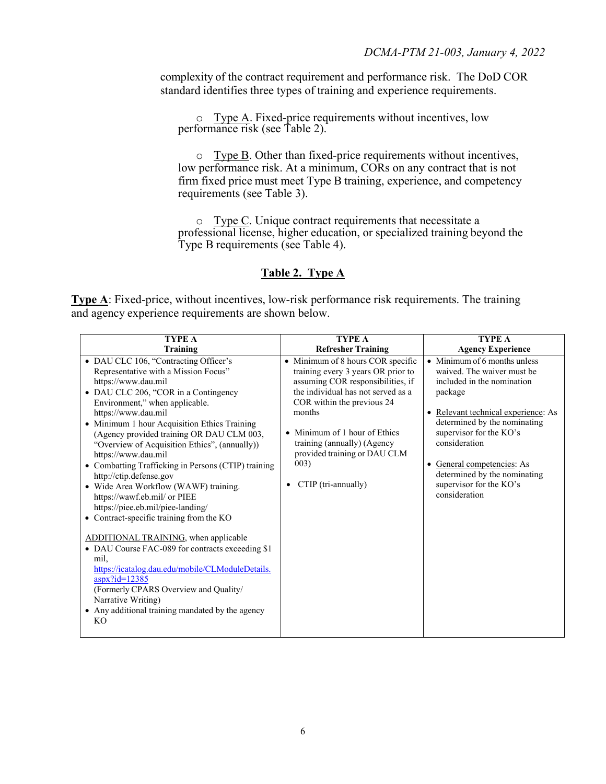complexity of the contract requirement and performance risk. The DoD COR standard identifies three types of training and experience requirements.

 $\circ$  Type A. Fixed-price requirements without incentives, low performance risk (see Table 2).

o Type B. Other than fixed-price requirements without incentives, low performance risk. At a minimum, CORs on any contract that is not firm fixed price must meet Type B training, experience, and competency requirements (see Table 3).

o Type C. Unique contract requirements that necessitate a professional license, higher education, or specialized training beyond the Type B requirements (see Table 4).

### **Table 2. Type A**

**Type A**: Fixed-price, without incentives, low-risk performance risk requirements. The training and agency experience requirements are shown below.

| <b>TYPE A</b>                                                                                                                                                                                                                                                                                                                                                                                                                                                                                                                                                                                                                                                                                                                                                                                                                                                                                                                                      | <b>TYPE A</b>                                                                                                                                                                                                                                                                                                                  | <b>TYPE A</b>                                                                                                                                                                                                                                                                                                                    |
|----------------------------------------------------------------------------------------------------------------------------------------------------------------------------------------------------------------------------------------------------------------------------------------------------------------------------------------------------------------------------------------------------------------------------------------------------------------------------------------------------------------------------------------------------------------------------------------------------------------------------------------------------------------------------------------------------------------------------------------------------------------------------------------------------------------------------------------------------------------------------------------------------------------------------------------------------|--------------------------------------------------------------------------------------------------------------------------------------------------------------------------------------------------------------------------------------------------------------------------------------------------------------------------------|----------------------------------------------------------------------------------------------------------------------------------------------------------------------------------------------------------------------------------------------------------------------------------------------------------------------------------|
| <b>Training</b>                                                                                                                                                                                                                                                                                                                                                                                                                                                                                                                                                                                                                                                                                                                                                                                                                                                                                                                                    | <b>Refresher Training</b>                                                                                                                                                                                                                                                                                                      | <b>Agency Experience</b>                                                                                                                                                                                                                                                                                                         |
| • DAU CLC 106, "Contracting Officer's<br>Representative with a Mission Focus"<br>https://www.dau.mil<br>• DAU CLC 206, "COR in a Contingency<br>Environment," when applicable.<br>https://www.dau.mil<br>• Minimum 1 hour Acquisition Ethics Training<br>(Agency provided training OR DAU CLM 003,<br>"Overview of Acquisition Ethics", (annually))<br>https://www.dau.mil<br>• Combatting Trafficking in Persons (CTIP) training<br>http://ctip.defense.gov<br>• Wide Area Workflow (WAWF) training.<br>https://wawf.eb.mil/ or PIEE<br>https://piee.eb.mil/piee-landing/<br>• Contract-specific training from the KO<br>ADDITIONAL TRAINING, when applicable<br>• DAU Course FAC-089 for contracts exceeding \$1<br>mil,<br>https://icatalog.dau.edu/mobile/CLModuleDetails.<br>$\frac{\text{aspx}}{\text{id}}$ =12385<br>(Formerly CPARS Overview and Quality/<br>Narrative Writing)<br>• Any additional training mandated by the agency<br>KO. | • Minimum of 8 hours COR specific<br>training every 3 years OR prior to<br>assuming COR responsibilities, if<br>the individual has not served as a<br>COR within the previous 24<br>months<br>• Minimum of 1 hour of Ethics<br>training (annually) (Agency<br>provided training or DAU CLM<br>003)<br>CTIP (tri-annually)<br>٠ | • Minimum of 6 months unless<br>waived. The waiver must be<br>included in the nomination<br>package<br>· Relevant technical experience: As<br>determined by the nominating<br>supervisor for the KO's<br>consideration<br>• General competencies: As<br>determined by the nominating<br>supervisor for the KO's<br>consideration |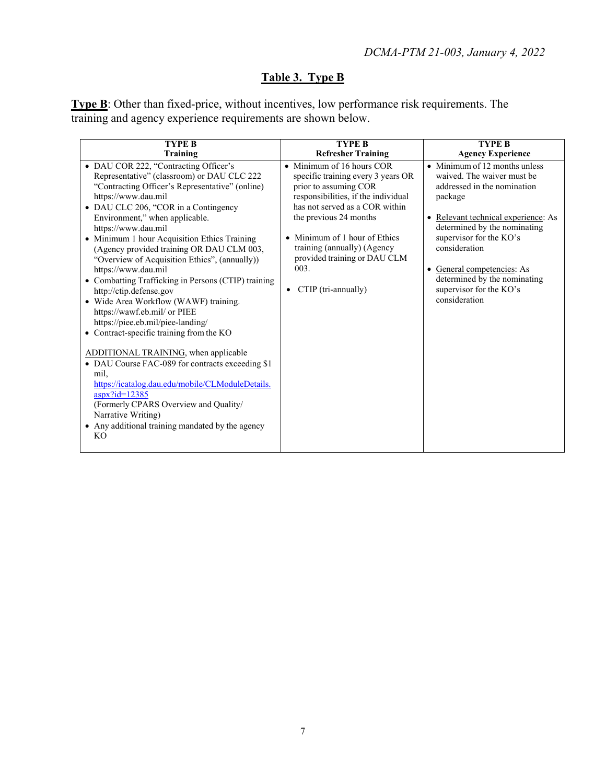# **Table 3. Type B**

**Type B**: Other than fixed-price, without incentives, low performance risk requirements. The training and agency experience requirements are shown below.

| <b>TYPE B</b>                                                                                                                                                                                                                                                                                                                                                                                                                                                                                                                                                                                                                                                                                                                                                                                                                                                                                                                                                                               | <b>TYPE B</b>                                                                                                                                                                                                                                                                                                                   | <b>TYPE B</b>                                                                                                                                                                                                                                                                                                                            |  |
|---------------------------------------------------------------------------------------------------------------------------------------------------------------------------------------------------------------------------------------------------------------------------------------------------------------------------------------------------------------------------------------------------------------------------------------------------------------------------------------------------------------------------------------------------------------------------------------------------------------------------------------------------------------------------------------------------------------------------------------------------------------------------------------------------------------------------------------------------------------------------------------------------------------------------------------------------------------------------------------------|---------------------------------------------------------------------------------------------------------------------------------------------------------------------------------------------------------------------------------------------------------------------------------------------------------------------------------|------------------------------------------------------------------------------------------------------------------------------------------------------------------------------------------------------------------------------------------------------------------------------------------------------------------------------------------|--|
| Training                                                                                                                                                                                                                                                                                                                                                                                                                                                                                                                                                                                                                                                                                                                                                                                                                                                                                                                                                                                    | <b>Refresher Training</b>                                                                                                                                                                                                                                                                                                       | <b>Agency Experience</b>                                                                                                                                                                                                                                                                                                                 |  |
| • DAU COR 222, "Contracting Officer's<br>Representative" (classroom) or DAU CLC 222<br>"Contracting Officer's Representative" (online)<br>https://www.dau.mil<br>• DAU CLC 206, "COR in a Contingency<br>Environment," when applicable.<br>https://www.dau.mil<br>• Minimum 1 hour Acquisition Ethics Training<br>(Agency provided training OR DAU CLM 003,<br>"Overview of Acquisition Ethics", (annually))<br>https://www.dau.mil<br>• Combatting Trafficking in Persons (CTIP) training<br>http://ctip.defense.gov<br>· Wide Area Workflow (WAWF) training.<br>https://wawf.eb.mil/ or PIEE<br>https://piee.eb.mil/piee-landing/<br>• Contract-specific training from the KO<br>ADDITIONAL TRAINING, when applicable<br>• DAU Course FAC-089 for contracts exceeding \$1<br>mil.<br>https://icatalog.dau.edu/mobile/CLModuleDetails.<br>$aspx$ ?id=12385<br>(Formerly CPARS Overview and Quality/<br>Narrative Writing)<br>• Any additional training mandated by the agency<br><b>KO</b> | • Minimum of 16 hours COR<br>specific training every 3 years OR<br>prior to assuming COR<br>responsibilities, if the individual<br>has not served as a COR within<br>the previous 24 months<br>• Minimum of 1 hour of Ethics<br>training (annually) (Agency<br>provided training or DAU CLM<br>003.<br>CTIP (tri-annually)<br>٠ | $\bullet$ Minimum of 12 months unless<br>waived. The waiver must be<br>addressed in the nomination<br>package<br>· Relevant technical experience: As<br>determined by the nominating<br>supervisor for the KO's<br>consideration<br>General competencies: As<br>determined by the nominating<br>supervisor for the KO's<br>consideration |  |